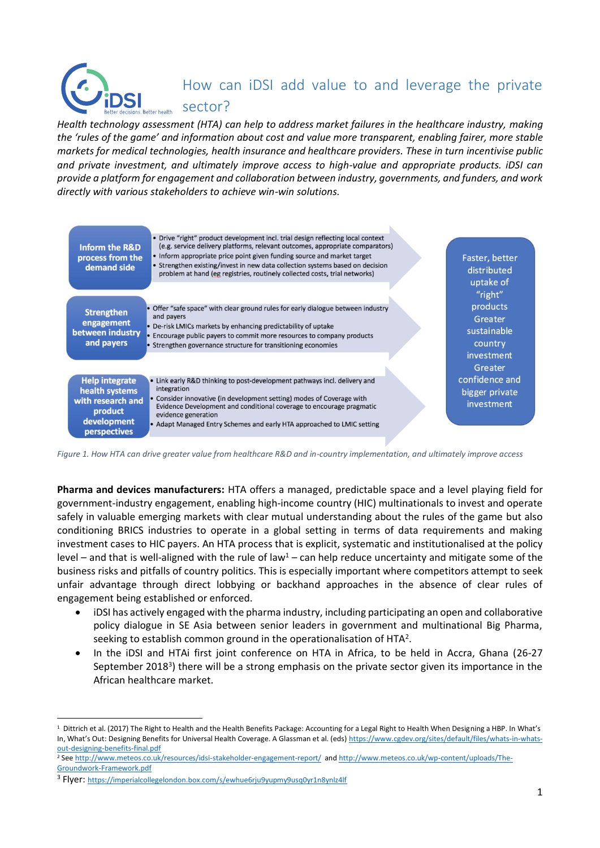# How can iDSI add value to and leverage the private

sector?

*Health technology assessment (HTA) can help to address market failures in the healthcare industry, making the 'rules of the game' and information about cost and value more transparent, enabling fairer, more stable markets for medical technologies, health insurance and healthcare providers. These in turn incentivise public and private investment, and ultimately improve access to high-value and appropriate products. iDSI can provide a platform for engagement and collaboration between industry, governments, and funders, and work directly with various stakeholders to achieve win-win solutions.*



*Figure 1. How HTA can drive greater value from healthcare R&D and in-country implementation, and ultimately improve access*

**Pharma and devices manufacturers:** HTA offers a managed, predictable space and a level playing field for government-industry engagement, enabling high-income country (HIC) multinationals to invest and operate safely in valuable emerging markets with clear mutual understanding about the rules of the game but also conditioning BRICS industries to operate in a global setting in terms of data requirements and making investment cases to HIC payers. An HTA process that is explicit, systematic and institutionalised at the policy level – and that is well-aligned with the rule of law<sup>1</sup> – can help reduce uncertainty and mitigate some of the business risks and pitfalls of country politics. This is especially important where competitors attempt to seek unfair advantage through direct lobbying or backhand approaches in the absence of clear rules of engagement being established or enforced.

- iDSI has actively engaged with the pharma industry, including participating an open and collaborative policy dialogue in SE Asia between senior leaders in government and multinational Big Pharma, seeking to establish common ground in the operationalisation of HTA<sup>2</sup>.
- In the iDSI and HTAi first joint conference on HTA in Africa, to be held in Accra, Ghana (26-27 September 2018<sup>3</sup>) there will be a strong emphasis on the private sector given its importance in the African healthcare market.

l

 $^1$  Dittrich et al. (2017) The Right to Health and the Health Benefits Package: Accounting for a Legal Right to Health When Designing a HBP. In What's In, What's Out: Designing Benefits for Universal Health Coverage. A Glassman et al. (eds[\) https://www.cgdev.org/sites/default/files/whats-in-whats](https://www.cgdev.org/sites/default/files/whats-in-whats-out-designing-benefits-final.pdf)[out-designing-benefits-final.pdf](https://www.cgdev.org/sites/default/files/whats-in-whats-out-designing-benefits-final.pdf)

<sup>2</sup> Se[e http://www.meteos.co.uk/resources/idsi-stakeholder-engagement-report/](http://www.meteos.co.uk/resources/idsi-stakeholder-engagement-report/) an[d http://www.meteos.co.uk/wp-content/uploads/The-](http://www.meteos.co.uk/wp-content/uploads/The-Groundwork-Framework.pdf)[Groundwork-Framework.pdf](http://www.meteos.co.uk/wp-content/uploads/The-Groundwork-Framework.pdf)

<sup>3</sup> Flyer: <https://imperialcollegelondon.box.com/s/ewhue6rju9yupmy9usq0yr1n8ynlz4lf>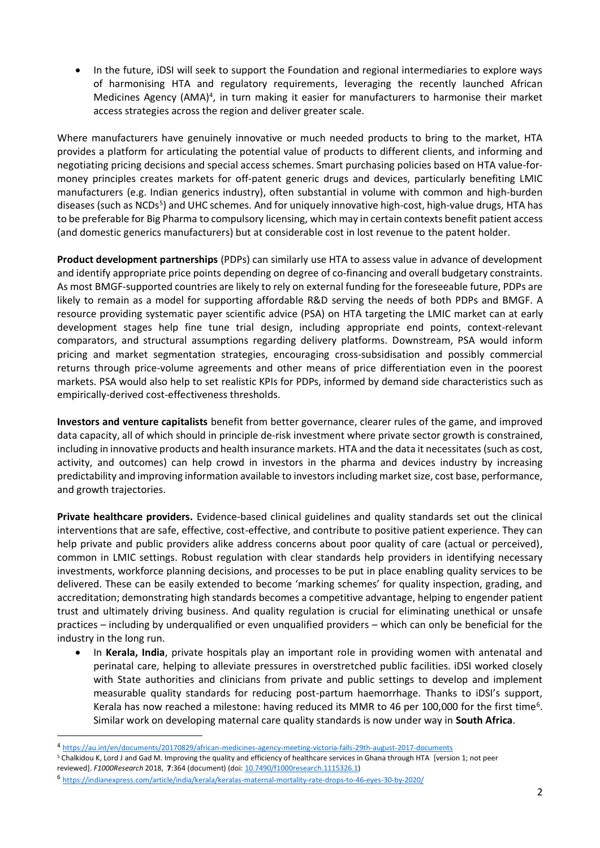• In the future, iDSI will seek to support the Foundation and regional intermediaries to explore ways of harmonising HTA and regulatory requirements, leveraging the recently launched African Medicines Agency (AMA)<sup>4</sup>, in turn making it easier for manufacturers to harmonise their market access strategies across the region and deliver greater scale.

Where manufacturers have genuinely innovative or much needed products to bring to the market, HTA provides a platform for articulating the potential value of products to different clients, and informing and negotiating pricing decisions and special access schemes. Smart purchasing policies based on HTA value-formoney principles creates markets for off-patent generic drugs and devices, particularly benefiting LMIC manufacturers (e.g. Indian generics industry), often substantial in volume with common and high-burden diseases (such as NCDs<sup>5</sup>) and UHC schemes. And for uniquely innovative high-cost, high-value drugs, HTA has to be preferable for Big Pharma to compulsory licensing, which may in certain contexts benefit patient access (and domestic generics manufacturers) but at considerable cost in lost revenue to the patent holder.

**Product development partnerships** (PDPs) can similarly use HTA to assess value in advance of development and identify appropriate price points depending on degree of co-financing and overall budgetary constraints. As most BMGF-supported countries are likely to rely on external funding for the foreseeable future, PDPs are likely to remain as a model for supporting affordable R&D serving the needs of both PDPs and BMGF. A resource providing systematic payer scientific advice (PSA) on HTA targeting the LMIC market can at early development stages help fine tune trial design, including appropriate end points, context-relevant comparators, and structural assumptions regarding delivery platforms. Downstream, PSA would inform pricing and market segmentation strategies, encouraging cross-subsidisation and possibly commercial returns through price-volume agreements and other means of price differentiation even in the poorest markets. PSA would also help to set realistic KPIs for PDPs, informed by demand side characteristics such as empirically-derived cost-effectiveness thresholds.

**Investors and venture capitalists** benefit from better governance, clearer rules of the game, and improved data capacity, all of which should in principle de-risk investment where private sector growth is constrained, including in innovative products and health insurance markets. HTA and the data it necessitates (such as cost, activity, and outcomes) can help crowd in investors in the pharma and devices industry by increasing predictability and improving information available to investors including market size, cost base, performance, and growth trajectories.

**Private healthcare providers.** Evidence-based clinical guidelines and quality standards set out the clinical interventions that are safe, effective, cost-effective, and contribute to positive patient experience. They can help private and public providers alike address concerns about poor quality of care (actual or perceived), common in LMIC settings. Robust regulation with clear standards help providers in identifying necessary investments, workforce planning decisions, and processes to be put in place enabling quality services to be delivered. These can be easily extended to become 'marking schemes' for quality inspection, grading, and accreditation; demonstrating high standards becomes a competitive advantage, helping to engender patient trust and ultimately driving business. And quality regulation is crucial for eliminating unethical or unsafe practices – including by underqualified or even unqualified providers – which can only be beneficial for the industry in the long run.

• In **Kerala, India**, private hospitals play an important role in providing women with antenatal and perinatal care, helping to alleviate pressures in overstretched public facilities. iDSI worked closely with State authorities and clinicians from private and public settings to develop and implement measurable quality standards for reducing post-partum haemorrhage. Thanks to iDSI's support, Kerala has now reached a milestone: having reduced its MMR to 46 per 100,000 for the first time<sup>6</sup>. Similar work on developing maternal care quality standards is now under way in **South Africa**.

l

<sup>4</sup> <https://au.int/en/documents/20170829/african-medicines-agency-meeting-victoria-falls-29th-august-2017-documents>

<sup>5</sup> Chalkidou K, Lord J and Gad M. Improving the quality and efficiency of healthcare services in Ghana through HTA [version 1; not peer

reviewed]. *F1000Research* 2018, **7**:364 (document) (doi: [10.7490/f1000research.1115326.1\)](http://dx.doi.org/10.7490/f1000research.1115326.1)

<sup>6</sup> <https://indianexpress.com/article/india/kerala/keralas-maternal-mortality-rate-drops-to-46-eyes-30-by-2020/>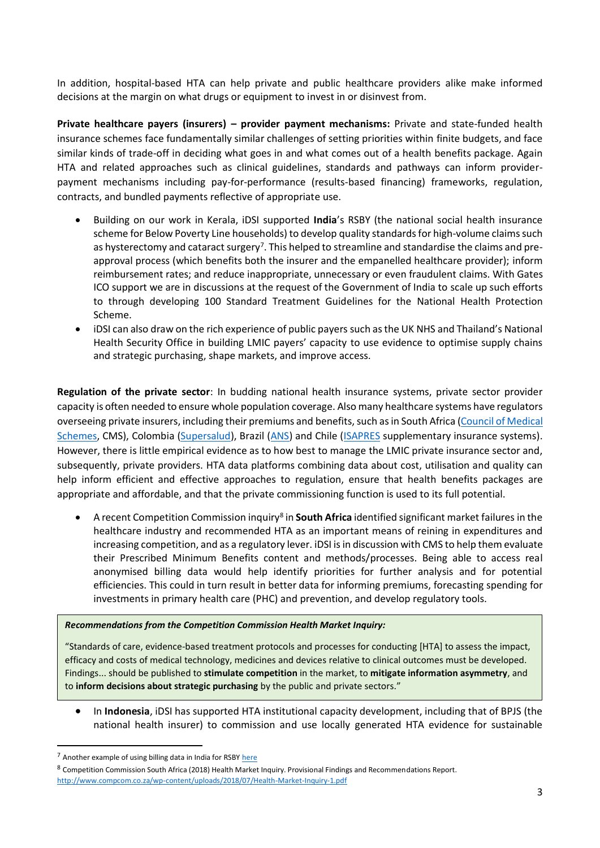In addition, hospital-based HTA can help private and public healthcare providers alike make informed decisions at the margin on what drugs or equipment to invest in or disinvest from.

**Private healthcare payers (insurers) – provider payment mechanisms:** Private and state-funded health insurance schemes face fundamentally similar challenges of setting priorities within finite budgets, and face similar kinds of trade-off in deciding what goes in and what comes out of a health benefits package. Again HTA and related approaches such as clinical guidelines, standards and pathways can inform providerpayment mechanisms including pay-for-performance (results-based financing) frameworks, regulation, contracts, and bundled payments reflective of appropriate use.

- Building on our work in Kerala, iDSI supported **India**'s RSBY (the national social health insurance scheme for Below Poverty Line households) to develop quality standards for high-volume claims such as hysterectomy and cataract surgery<sup>7</sup>. This helped to streamline and standardise the claims and preapproval process (which benefits both the insurer and the empanelled healthcare provider); inform reimbursement rates; and reduce inappropriate, unnecessary or even fraudulent claims. With Gates ICO support we are in discussions at the request of the Government of India to scale up such efforts to through developing 100 Standard Treatment Guidelines for the National Health Protection Scheme.
- iDSI can also draw on the rich experience of public payers such as the UK NHS and Thailand's National Health Security Office in building LMIC payers' capacity to use evidence to optimise supply chains and strategic purchasing, shape markets, and improve access.

**Regulation of the private sector**: In budding national health insurance systems, private sector provider capacity is often needed to ensure whole population coverage. Also many healthcare systems have regulators overseeing private insurers, including their premiums and benefits, such as in South Africa [\(Council of Medical](https://www.medicalschemes.com/)  [Schemes,](https://www.medicalschemes.com/) CMS), Colombia [\(Supersalud\)](https://www.supersalud.gov.co/en-us), Brazil [\(ANS\)](http://www.ans.gov.br/home-en) and Chile [\(ISAPRES](http://www.isapre.cl/) supplementary insurance systems). However, there is little empirical evidence as to how best to manage the LMIC private insurance sector and, subsequently, private providers. HTA data platforms combining data about cost, utilisation and quality can help inform efficient and effective approaches to regulation, ensure that health benefits packages are appropriate and affordable, and that the private commissioning function is used to its full potential.

**•** A recent Competition Commission inquiry<sup>8</sup> in **South Africa** identified significant market failures in the healthcare industry and recommended HTA as an important means of reining in expenditures and increasing competition, and as a regulatory lever. iDSI is in discussion with CMS to help them evaluate their Prescribed Minimum Benefits content and methods/processes. Being able to access real anonymised billing data would help identify priorities for further analysis and for potential efficiencies. This could in turn result in better data for informing premiums, forecasting spending for investments in primary health care (PHC) and prevention, and develop regulatory tools.

#### *Recommendations from the Competition Commission Health Market Inquiry:*

"Standards of care, evidence-based treatment protocols and processes for conducting [HTA] to assess the impact, efficacy and costs of medical technology, medicines and devices relative to clinical outcomes must be developed. Findings... should be published to **stimulate competition** in the market, to **mitigate information asymmetry**, and to **inform decisions about strategic purchasing** by the public and private sectors."

• In **Indonesia**, iDSI has supported HTA institutional capacity development, including that of BPJS (the national health insurer) to commission and use locally generated HTA evidence for sustainable

l

<sup>7</sup> Another example of using billing data in India for RSBY [here](https://www.healthaffairs.org/doi/abs/10.1377/hlthaff.2016.0588)

<sup>8</sup> Competition Commission South Africa (2018) Health Market Inquiry. Provisional Findings and Recommendations Report. <http://www.compcom.co.za/wp-content/uploads/2018/07/Health-Market-Inquiry-1.pdf>